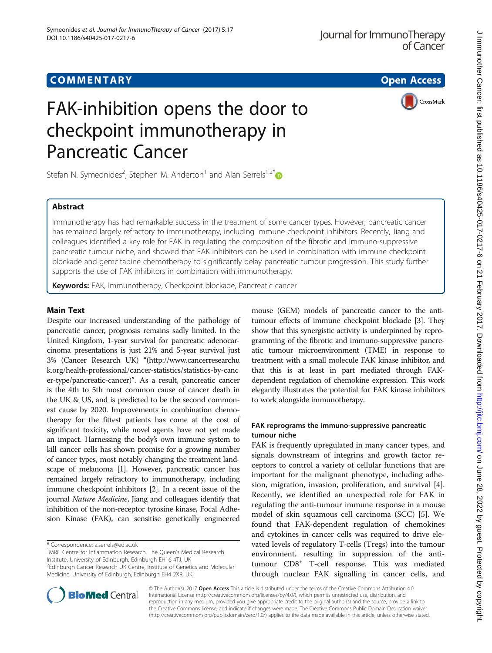



# FAK-inhibition opens the door to checkpoint immunotherapy in Pancreatic Cancer

Stefan N. Symeonides<sup>2</sup>, Stephen M. Anderton<sup>1</sup> and Alan Serrels<sup>1,2[\\*](http://orcid.org/0000-0003-4992-6077)</sup>

# **Abstract**

Immunotherapy has had remarkable success in the treatment of some cancer types. However, pancreatic cancer has remained largely refractory to immunotherapy, including immune checkpoint inhibitors. Recently, Jiang and colleagues identified a key role for FAK in regulating the composition of the fibrotic and immuno-suppressive pancreatic tumour niche, and showed that FAK inhibitors can be used in combination with immune checkpoint blockade and gemcitabine chemotherapy to significantly delay pancreatic tumour progression. This study further supports the use of FAK inhibitors in combination with immunotherapy.

Keywords: FAK, Immunotherapy, Checkpoint blockade, Pancreatic cancer

Despite our increased understanding of the pathology of pancreatic cancer, prognosis remains sadly limited. In the United Kingdom, 1-year survival for pancreatic adenocarcinoma presentations is just 21% and 5-year survival just 3% (Cancer Research UK) "[\(http://www.cancerresearchu](http://www.cancerresearchuk.org/health-professional/cancer-statistics/statistics-by-cancer-type/pancreatic-cancer) [k.org/health-professional/cancer-statistics/statistics-by-canc](http://www.cancerresearchuk.org/health-professional/cancer-statistics/statistics-by-cancer-type/pancreatic-cancer) [er-type/pancreatic-cancer](http://www.cancerresearchuk.org/health-professional/cancer-statistics/statistics-by-cancer-type/pancreatic-cancer))". As a result, pancreatic cancer is the 4th to 5th most common cause of cancer death in the UK & US, and is predicted to be the second commonest cause by 2020. Improvements in combination chemotherapy for the fittest patients has come at the cost of significant toxicity, while novel agents have not yet made an impact. Harnessing the body's own immune system to kill cancer cells has shown promise for a growing number of cancer types, most notably changing the treatment landscape of melanoma [\[1\]](#page-2-0). However, pancreatic cancer has remained largely refractory to immunotherapy, including immune checkpoint inhibitors [[2](#page-2-0)]. In a recent issue of the journal Nature Medicine, Jiang and colleagues identify that inhibition of the non-receptor tyrosine kinase, Focal Adhesion Kinase (FAK), can sensitise genetically engineered

\* Correspondence: [a.serrels@ed.ac.uk](mailto:a.serrels@ed.ac.uk) <sup>1</sup>

<sup>1</sup>MRC Centre for Inflammation Research, The Queen's Medical Research Institute, University of Edinburgh, Edinburgh EH16 4TJ, UK <sup>2</sup>Edinburgh Cancer Research UK Centre, Institute of Genetics and Molecular

Medicine, University of Edinburgh, Edinburgh EH4 2XR, UK

mouse (GEM) models of pancreatic cancer to the antitumour effects of immune checkpoint blockade [\[3\]](#page-2-0). They show that this synergistic activity is underpinned by reprogramming of the fibrotic and immuno-suppressive pancreatic tumour microenvironment (TME) in response to treatment with a small molecule FAK kinase inhibitor, and that this is at least in part mediated through FAKdependent regulation of chemokine expression. This work elegantly illustrates the potential for FAK kinase inhibitors to work alongside immunotherapy.

# FAK reprograms the immuno-suppressive pancreatic tumour niche

FAK is frequently upregulated in many cancer types, and signals downstream of integrins and growth factor receptors to control a variety of cellular functions that are important for the malignant phenotype, including adhesion, migration, invasion, proliferation, and survival [\[4](#page-2-0)]. Recently, we identified an unexpected role for FAK in regulating the anti-tumour immune response in a mouse model of skin squamous cell carcinoma (SCC) [[5\]](#page-2-0). We found that FAK-dependent regulation of chemokines and cytokines in cancer cells was required to drive elevated levels of regulatory T-cells (Tregs) into the tumour environment, resulting in suppression of the antitumour CD8<sup>+</sup> T-cell response. This was mediated through nuclear FAK signalling in cancer cells, and



© The Author(s). 2017 Open Access This article is distributed under the terms of the Creative Commons Attribution 4.0 International License [\(http://creativecommons.org/licenses/by/4.0/](http://creativecommons.org/licenses/by/4.0/)), which permits unrestricted use, distribution, and reproduction in any medium, provided you give appropriate credit to the original author(s) and the source, provide a link to the Creative Commons license, and indicate if changes were made. The Creative Commons Public Domain Dedication waiver [\(http://creativecommons.org/publicdomain/zero/1.0/](http://creativecommons.org/publicdomain/zero/1.0/)) applies to the data made available in this article, unless otherwise stated.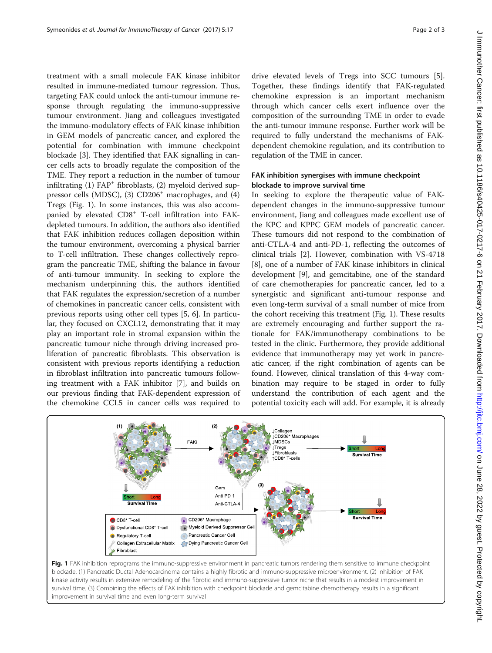treatment with a small molecule FAK kinase inhibitor resulted in immune-mediated tumour regression. Thus, targeting FAK could unlock the anti-tumour immune response through regulating the immuno-suppressive tumour environment. Jiang and colleagues investigated the immuno-modulatory effects of FAK kinase inhibition in GEM models of pancreatic cancer, and explored the potential for combination with immune checkpoint blockade [\[3](#page-2-0)]. They identified that FAK signalling in cancer cells acts to broadly regulate the composition of the TME. They report a reduction in the number of tumour infiltrating  $(1)$  FAP<sup>+</sup> fibroblasts,  $(2)$  myeloid derived suppressor cells (MDSC), (3)  $CD206<sup>+</sup>$  macrophages, and (4) Tregs (Fig. 1). In some instances, this was also accompanied by elevated CD8<sup>+</sup> T-cell infiltration into FAKdepleted tumours. In addition, the authors also identified that FAK inhibition reduces collagen deposition within the tumour environment, overcoming a physical barrier to T-cell infiltration. These changes collectively reprogram the pancreatic TME, shifting the balance in favour of anti-tumour immunity. In seeking to explore the mechanism underpinning this, the authors identified that FAK regulates the expression/secretion of a number of chemokines in pancreatic cancer cells, consistent with previous reports using other cell types [\[5](#page-2-0), [6](#page-2-0)]. In particular, they focused on CXCL12, demonstrating that it may play an important role in stromal expansion within the pancreatic tumour niche through driving increased proliferation of pancreatic fibroblasts. This observation is consistent with previous reports identifying a reduction in fibroblast infiltration into pancreatic tumours following treatment with a FAK inhibitor [\[7](#page-2-0)], and builds on our previous finding that FAK-dependent expression of the chemokine CCL5 in cancer cells was required to drive elevated levels of Tregs into SCC tumours [\[5](#page-2-0)]. Together, these findings identify that FAK-regulated chemokine expression is an important mechanism through which cancer cells exert influence over the composition of the surrounding TME in order to evade the anti-tumour immune response. Further work will be required to fully understand the mechanisms of FAKdependent chemokine regulation, and its contribution to regulation of the TME in cancer.

## FAK inhibition synergises with immune checkpoint blockade to improve survival time

In seeking to explore the therapeutic value of FAKdependent changes in the immuno-suppressive tumour environment, Jiang and colleagues made excellent use of the KPC and KPPC GEM models of pancreatic cancer. These tumours did not respond to the combination of anti-CTLA-4 and anti-PD-1, reflecting the outcomes of clinical trials [[2\]](#page-2-0). However, combination with VS-4718 [[8\]](#page-2-0), one of a number of FAK kinase inhibitors in clinical development [[9\]](#page-2-0), and gemcitabine, one of the standard of care chemotherapies for pancreatic cancer, led to a synergistic and significant anti-tumour response and even long-term survival of a small number of mice from the cohort receiving this treatment (Fig. 1). These results are extremely encouraging and further support the rationale for FAK/immunotherapy combinations to be tested in the clinic. Furthermore, they provide additional evidence that immunotherapy may yet work in pancreatic cancer, if the right combination of agents can be found. However, clinical translation of this 4-way combination may require to be staged in order to fully understand the contribution of each agent and the potential toxicity each will add. For example, it is already